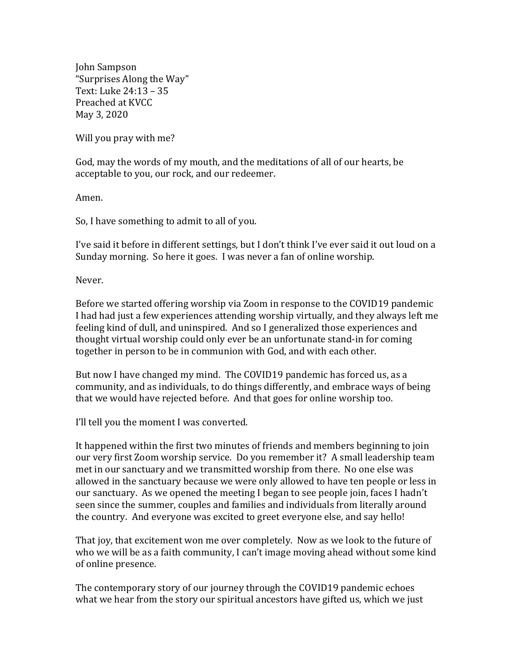John Sampson "Surprises Along the Way" Text: Luke 24:13 – 35 Preached at KVCC May 3, 2020

Will you pray with me?

God, may the words of my mouth, and the meditations of all of our hearts, be acceptable to you, our rock, and our redeemer.

Amen.

So, I have something to admit to all of you.

I've said it before in different settings, but I don't think I've ever said it out loud on a Sunday morning. So here it goes. I was never a fan of online worship.

Never.

Before we started offering worship via Zoom in response to the COVID19 pandemic I had had just a few experiences attending worship virtually, and they always left me feeling kind of dull, and uninspired. And so I generalized those experiences and thought virtual worship could only ever be an unfortunate stand-in for coming together in person to be in communion with God, and with each other.

But now I have changed my mind. The COVID19 pandemic has forced us, as a community, and as individuals, to do things differently, and embrace ways of being that we would have rejected before. And that goes for online worship too.

I'll tell you the moment I was converted.

It happened within the first two minutes of friends and members beginning to join our very first Zoom worship service. Do you remember it? A small leadership team met in our sanctuary and we transmitted worship from there. No one else was allowed in the sanctuary because we were only allowed to have ten people or less in our sanctuary. As we opened the meeting I began to see people join, faces I hadn't seen since the summer, couples and families and individuals from literally around the country. And everyone was excited to greet everyone else, and say hello!

That joy, that excitement won me over completely. Now as we look to the future of who we will be as a faith community, I can't image moving ahead without some kind of online presence.

The contemporary story of our journey through the COVID19 pandemic echoes what we hear from the story our spiritual ancestors have gifted us, which we just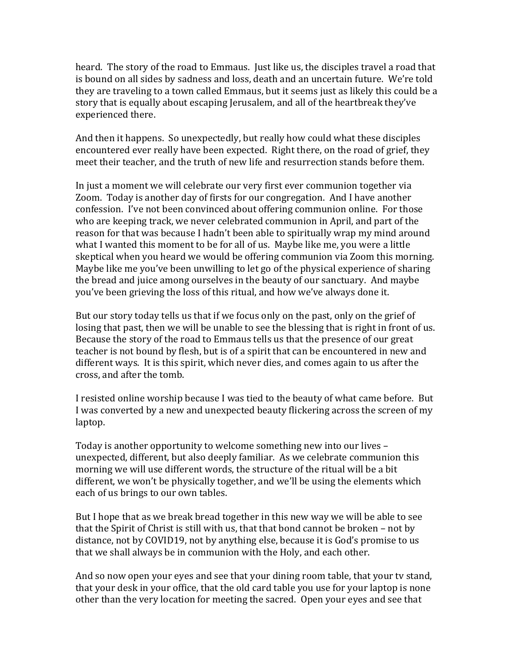heard. The story of the road to Emmaus. Just like us, the disciples travel a road that is bound on all sides by sadness and loss, death and an uncertain future. We're told they are traveling to a town called Emmaus, but it seems just as likely this could be a story that is equally about escaping Jerusalem, and all of the heartbreak they've experienced there.

And then it happens. So unexpectedly, but really how could what these disciples encountered ever really have been expected. Right there, on the road of grief, they meet their teacher, and the truth of new life and resurrection stands before them.

In just a moment we will celebrate our very first ever communion together via Zoom. Today is another day of firsts for our congregation. And I have another confession. I've not been convinced about offering communion online. For those who are keeping track, we never celebrated communion in April, and part of the reason for that was because I hadn't been able to spiritually wrap my mind around what I wanted this moment to be for all of us. Maybe like me, you were a little skeptical when you heard we would be offering communion via Zoom this morning. Maybe like me you've been unwilling to let go of the physical experience of sharing the bread and juice among ourselves in the beauty of our sanctuary. And maybe you've been grieving the loss of this ritual, and how we've always done it.

But our story today tells us that if we focus only on the past, only on the grief of losing that past, then we will be unable to see the blessing that is right in front of us. Because the story of the road to Emmaus tells us that the presence of our great teacher is not bound by flesh, but is of a spirit that can be encountered in new and different ways. It is this spirit, which never dies, and comes again to us after the cross, and after the tomb.

I resisted online worship because I was tied to the beauty of what came before. But I was converted by a new and unexpected beauty flickering across the screen of my laptop.

Today is another opportunity to welcome something new into our lives – unexpected, different, but also deeply familiar. As we celebrate communion this morning we will use different words, the structure of the ritual will be a bit different, we won't be physically together, and we'll be using the elements which each of us brings to our own tables.

But I hope that as we break bread together in this new way we will be able to see that the Spirit of Christ is still with us, that that bond cannot be broken – not by distance, not by COVID19, not by anything else, because it is God's promise to us that we shall always be in communion with the Holy, and each other.

And so now open your eyes and see that your dining room table, that your tv stand, that your desk in your office, that the old card table you use for your laptop is none other than the very location for meeting the sacred. Open your eyes and see that